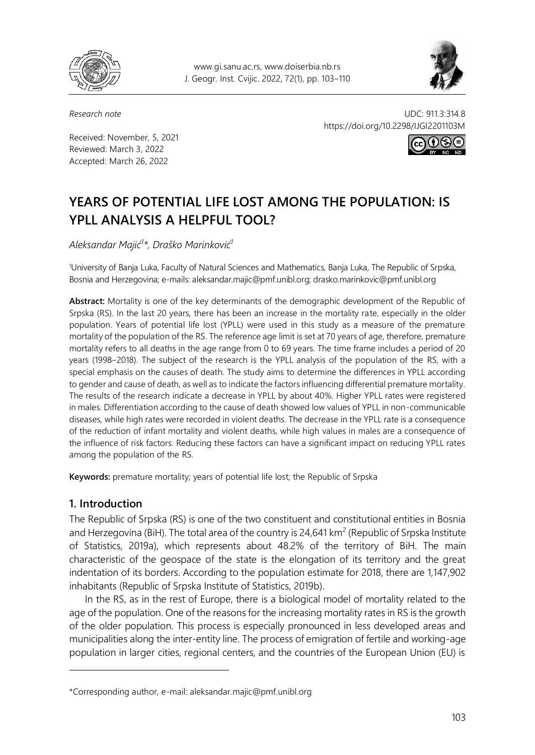

www.gi.sanu.ac.rs, www.doiserbia.nb.rs J. Geogr. Inst. Cvijic. 2022, 72(1), pp. 103–110



Received: November, 5, 2021 Reviewed: March 3, 2022 Accepted: March 26, 2022

*Research note* UDC: 911.3:314.8 https://doi.org/10.2298/IJGI2201103M



# **YEARS OF POTENTIAL LIFE LOST AMONG THE POPULATION: IS YPLL ANALYSIS A HELPFUL TOOL?**

*Aleksandar Majić<sup>1</sup> \*, Draško Marinković<sup>1</sup>*

<sup>1</sup>University of Banja Luka, Faculty of Natural Sciences and Mathematics, Banja Luka, The Republic of Srpska, Bosnia and Herzegovina; e-mails: aleksandar.majic@pmf.unibl.org; drasko.marinkovic@pmf.unibl.org

**Abstract:** Mortality is one of the key determinants of the demographic development of the Republic of Srpska (RS). In the last 20 years, there has been an increase in the mortality rate, especially in the older population. Years of potential life lost (YPLL) were used in this study as a measure of the premature mortality of the population of the RS. The reference age limit is set at 70 years of age, therefore, premature mortality refers to all deaths in the age range from 0 to 69 years. The time frame includes a period of 20 years (1998–2018). The subject of the research is the YPLL analysis of the population of the RS, with a special emphasis on the causes of death. The study aims to determine the differences in YPLL according to gender and cause of death, as well as to indicate the factors influencing differential premature mortality. The results of the research indicate a decrease in YPLL by about 40%. Higher YPLL rates were registered in males. Differentiation according to the cause of death showed low values of YPLL in non-communicable diseases, while high rates were recorded in violent deaths. The decrease in the YPLL rate is a consequence of the reduction of infant mortality and violent deaths, while high values in males are a consequence of the influence of risk factors. Reducing these factors can have a significant impact on reducing YPLL rates among the population of the RS.

**Keywords:** premature mortality; years of potential life lost; the Republic of Srpska

### **1. Introduction**

 $\overline{a}$ 

The Republic of Srpska (RS) is one of the two constituent and constitutional entities in Bosnia and Herzegovina (BiH). The total area of the country is 24,641 km<sup>2</sup> (Republic of Srpska Institute of Statistics, 2019a), which represents about 48.2% of the territory of BiH. The main characteristic of the geospace of the state is the elongation of its territory and the great indentation of its borders. According to the population estimate for 2018, there are 1,147,902 inhabitants (Republic of Srpska Institute of Statistics, 2019b).

In the RS, as in the rest of Europe, there is a biological model of mortality related to the age of the population. One of the reasons for the increasing mortality rates in RS is the growth of the older population. This process is especially pronounced in less developed areas and municipalities along the inter-entity line. The process of emigration of fertile and working-age population in larger cities, regional centers, and the countries of the European Union (EU) is

<sup>\*</sup>Corresponding author, e-mail: aleksandar.majic@pmf.unibl.org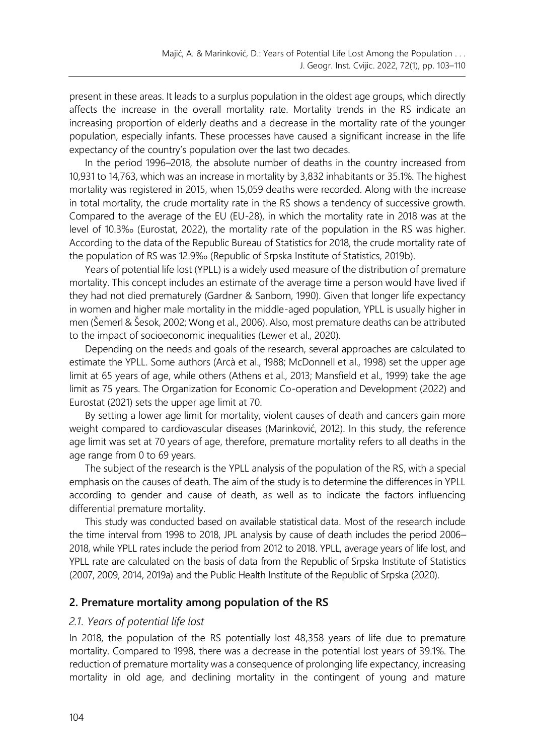present in these areas. It leads to a surplus population in the oldest age groups, which directly affects the increase in the overall mortality rate. Mortality trends in the RS indicate an increasing proportion of elderly deaths and a decrease in the mortality rate of the younger population, especially infants. These processes have caused a significant increase in the life expectancy of the country's population over the last two decades.

In the period 1996–2018, the absolute number of deaths in the country increased from 10,931 to 14,763, which was an increase in mortality by 3,832 inhabitants or 35.1%. The highest mortality was registered in 2015, when 15,059 deaths were recorded. Along with the increase in total mortality, the crude mortality rate in the RS shows a tendency of successive growth. Compared to the average of the EU (EU-28), in which the mortality rate in 2018 was at the level of 10.3‰ (Eurostat, 2022), the mortality rate of the population in the RS was higher. According to the data of the Republic Bureau of Statistics for 2018, the crude mortality rate of the population of RS was 12.9‰ (Republic of Srpska Institute of Statistics, 2019b).

Years of potential life lost (YPLL) is a widely used measure of the distribution of premature mortality. This concept includes an estimate of the average time a person would have lived if they had not died prematurely (Gardner & Sanborn, 1990). Given that longer life expectancy in women and higher male mortality in the middle-aged population, YPLL is usually higher in men (Šemerl & Šesok, 2002; Wong et al., 2006). Also, most premature deaths can be attributed to the impact of socioeconomic inequalities (Lewer et al., 2020).

Depending on the needs and goals of the research, several approaches are calculated to estimate the YPLL. Some authors (Arcà et al., 1988; McDonnell et al., 1998) set the upper age limit at 65 years of age, while others (Athens et al., 2013; Mansfield et al., 1999) take the age limit as 75 years. The Organization for Economic Co-operation and Development (2022) and Eurostat (2021) sets the upper age limit at 70.

By setting a lower age limit for mortality, violent causes of death and cancers gain more weight compared to cardiovascular diseases (Marinković, 2012). In this study, the reference age limit was set at 70 years of age, therefore, premature mortality refers to all deaths in the age range from 0 to 69 years.

The subject of the research is the YPLL analysis of the population of the RS, with a special emphasis on the causes of death. The aim of the study is to determine the differences in YPLL according to gender and cause of death, as well as to indicate the factors influencing differential premature mortality.

This study was conducted based on available statistical data. Most of the research include the time interval from 1998 to 2018, JPL analysis by cause of death includes the period 2006– 2018, while YPLL rates include the period from 2012 to 2018. YPLL, average years of life lost, and YPLL rate are calculated on the basis of data from the Republic of Srpska Institute of Statistics (2007, 2009, 2014, 2019a) and the Public Health Institute of the Republic of Srpska (2020).

#### **2. Premature mortality among population of the RS**

#### *2.1. Years of potential life lost*

In 2018, the population of the RS potentially lost 48,358 years of life due to premature mortality. Compared to 1998, there was a decrease in the potential lost years of 39.1%. The reduction of premature mortality was a consequence of prolonging life expectancy, increasing mortality in old age, and declining mortality in the contingent of young and mature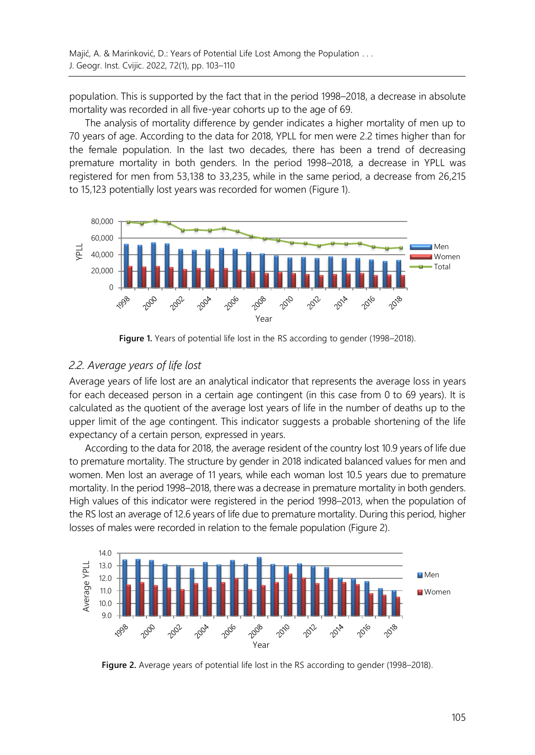population. This is supported by the fact that in the period 1998–2018, a decrease in absolute mortality was recorded in all five-year cohorts up to the age of 69.

The analysis of mortality difference by gender indicates a higher mortality of men up to 70 years of age. According to the data for 2018, YPLL for men were 2.2 times higher than for the female population. In the last two decades, there has been a trend of decreasing premature mortality in both genders. In the period 1998–2018, a decrease in YPLL was registered for men from 53,138 to 33,235, while in the same period, a decrease from 26,215 to 15,123 potentially lost years was recorded for women (Figure 1).



**Figure 1.** Years of potential life lost in the RS according to gender (1998–2018).

### *2.2. Average years of life lost*

Average years of life lost are an analytical indicator that represents the average loss in years for each deceased person in a certain age contingent (in this case from 0 to 69 years). It is calculated as the quotient of the average lost years of life in the number of deaths up to the upper limit of the age contingent. This indicator suggests a probable shortening of the life expectancy of a certain person, expressed in years.

According to the data for 2018, the average resident of the country lost 10.9 years of life due to premature mortality. The structure by gender in 2018 indicated balanced values for men and women. Men lost an average of 11 years, while each woman lost 10.5 years due to premature mortality. In the period 1998–2018, there was a decrease in premature mortality in both genders. High values of this indicator were registered in the period 1998–2013, when the population of the RS lost an average of 12.6 years of life due to premature mortality. During this period, higher losses of males were recorded in relation to the female population (Figure 2).



**Figure 2.** Average years of potential life lost in the RS according to gender (1998–2018).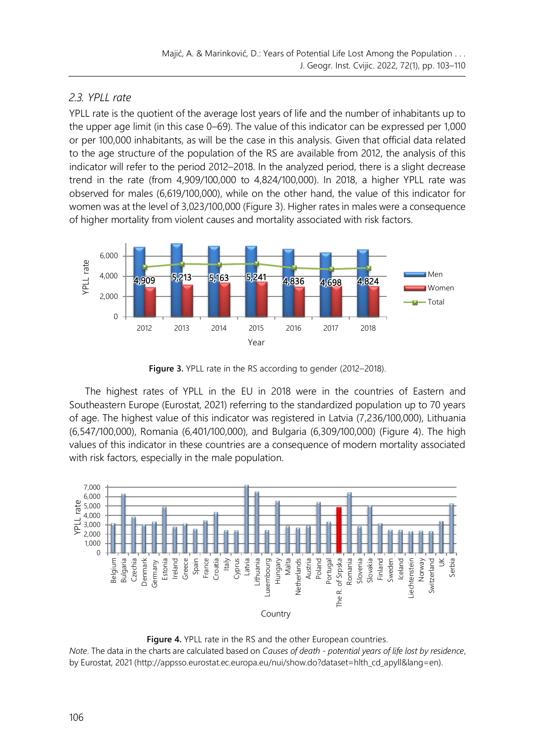## *2.3. YPLL rate*

YPLL rate is the quotient of the average lost years of life and the number of inhabitants up to the upper age limit (in this case 0–69). The value of this indicator can be expressed per 1,000 or per 100,000 inhabitants, as will be the case in this analysis. Given that official data related to the age structure of the population of the RS are available from 2012, the analysis of this indicator will refer to the period 2012–2018. In the analyzed period, there is a slight decrease trend in the rate (from 4,909/100,000 to 4,824/100,000). In 2018, a higher YPLL rate was observed for males (6,619/100,000), while on the other hand, the value of this indicator for women was at the level of 3,023/100,000 (Figure 3). Higher rates in males were a consequence of higher mortality from violent causes and mortality associated with risk factors.



**Figure 3.** YPLL rate in the RS according to gender (2012–2018).

The highest rates of YPLL in the EU in 2018 were in the countries of Eastern and Southeastern Europe (Eurostat, 2021) referring to the standardized population up to 70 years of age. The highest value of this indicator was registered in Latvia (7,236/100,000), Lithuania (6,547/100,000), Romania (6,401/100,000), and Bulgaria (6,309/100,000) (Figure 4). The high values of this indicator in these countries are a consequence of modern mortality associated with risk factors, especially in the male population.



**Figure 4.** YPLL rate in the RS and the other European countries.

*Note*. The data in the charts are calculated based on *Causes of death - potential years of life lost by residence*, by Eurostat, 2021 [\(http://appsso.eurostat.ec.europa.eu/nui/show.do?dataset=hlth\\_cd\\_apyll&lang=en\)](http://appsso.eurostat.ec.europa.eu/nui/show.do?dataset=hlth_cd_apyll&lang=en).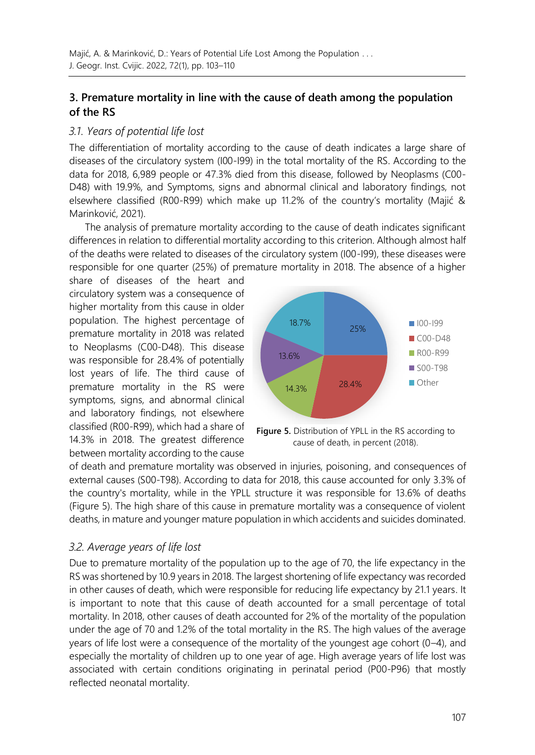## **3. Premature mortality in line with the cause of death among the population of the RS**

### *3.1. Years of potential life lost*

The differentiation of mortality according to the cause of death indicates a large share of diseases of the circulatory system (I00-I99) in the total mortality of the RS. According to the data for 2018, 6,989 people or 47.3% died from this disease, followed by Neoplasms (C00- D48) with 19.9%, and Symptoms, signs and abnormal clinical and laboratory findings, not elsewhere classified (R00-R99) which make up 11.2% of the country's mortality (Majić & Marinković, 2021).

The analysis of premature mortality according to the cause of death indicates significant differences in relation to differential mortality according to this criterion. Although almost half of the deaths were related to diseases of the circulatory system (I00-I99), these diseases were responsible for one quarter (25%) of premature mortality in 2018. The absence of a higher

share of diseases of the heart and circulatory system was a consequence of higher mortality from this cause in older population. The highest percentage of premature mortality in 2018 was related to Neoplasms (C00-D48). This disease was responsible for 28.4% of potentially lost years of life. The third cause of premature mortality in the RS were symptoms, signs, and abnormal clinical and laboratory findings, not elsewhere classified (R00-R99), which had a share of 14.3% in 2018. The greatest difference between mortality according to the cause



**Figure 5.** Distribution of YPLL in the RS according to cause of death, in percent (2018).

of death and premature mortality was observed in injuries, poisoning, and consequences of external causes (S00-T98). According to data for 2018, this cause accounted for only 3.3% of the country's mortality, while in the YPLL structure it was responsible for 13.6% of deaths (Figure 5). The high share of this cause in premature mortality was a consequence of violent deaths, in mature and younger mature population in which accidents and suicides dominated.

### *3.2. Average years of life lost*

Due to premature mortality of the population up to the age of 70, the life expectancy in the RS was shortened by 10.9 years in 2018. The largest shortening of life expectancy was recorded in other causes of death, which were responsible for reducing life expectancy by 21.1 years. It is important to note that this cause of death accounted for a small percentage of total mortality. In 2018, other causes of death accounted for 2% of the mortality of the population under the age of 70 and 1.2% of the total mortality in the RS. The high values of the average years of life lost were a consequence of the mortality of the youngest age cohort (0–4), and especially the mortality of children up to one year of age. High average years of life lost was associated with certain conditions originating in perinatal period (P00-P96) that mostly reflected neonatal mortality.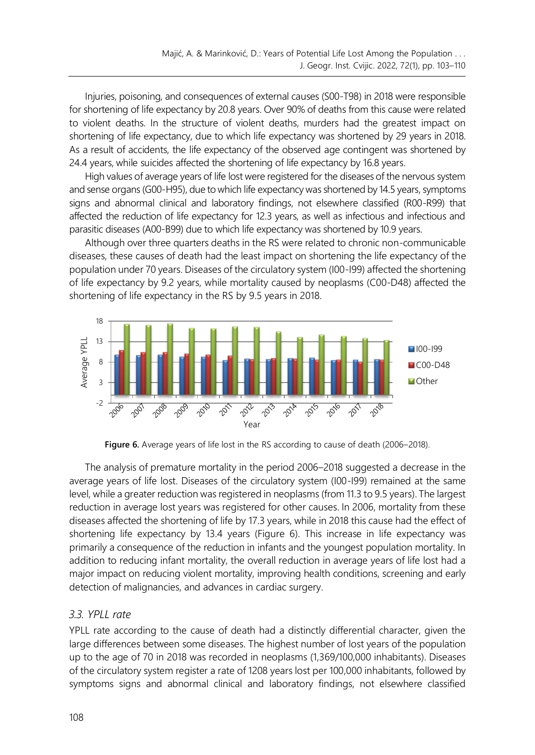Injuries, poisoning, and consequences of external causes (S00-T98) in 2018 were responsible for shortening of life expectancy by 20.8 years. Over 90% of deaths from this cause were related to violent deaths. In the structure of violent deaths, murders had the greatest impact on shortening of life expectancy, due to which life expectancy was shortened by 29 years in 2018. As a result of accidents, the life expectancy of the observed age contingent was shortened by 24.4 years, while suicides affected the shortening of life expectancy by 16.8 years.

High values of average years of life lost were registered for the diseases of the nervous system and sense organs (G00-H95), due to which life expectancy was shortened by 14.5 years, symptoms signs and abnormal clinical and laboratory findings, not elsewhere classified (R00-R99) that affected the reduction of life expectancy for 12.3 years, as well as infectious and infectious and parasitic diseases (A00-B99) due to which life expectancy was shortened by 10.9 years.

Although over three quarters deaths in the RS were related to chronic non-communicable diseases, these causes of death had the least impact on shortening the life expectancy of the population under 70 years. Diseases of the circulatory system (I00-I99) affected the shortening of life expectancy by 9.2 years, while mortality caused by neoplasms (C00-D48) affected the shortening of life expectancy in the RS by 9.5 years in 2018.



**Figure 6.** Average years of life lost in the RS according to cause of death (2006–2018).

The analysis of premature mortality in the period 2006–2018 suggested a decrease in the average years of life lost. Diseases of the circulatory system (I00-I99) remained at the same level, while a greater reduction was registered in neoplasms (from 11.3 to 9.5 years). The largest reduction in average lost years was registered for other causes. In 2006, mortality from these diseases affected the shortening of life by 17.3 years, while in 2018 this cause had the effect of shortening life expectancy by 13.4 years (Figure 6). This increase in life expectancy was primarily a consequence of the reduction in infants and the youngest population mortality. In addition to reducing infant mortality, the overall reduction in average years of life lost had a major impact on reducing violent mortality, improving health conditions, screening and early detection of malignancies, and advances in cardiac surgery.

### *3.3. YPLL rate*

YPLL rate according to the cause of death had a distinctly differential character, given the large differences between some diseases. The highest number of lost years of the population up to the age of 70 in 2018 was recorded in neoplasms (1,369/100,000 inhabitants). Diseases of the circulatory system register a rate of 1208 years lost per 100,000 inhabitants, followed by symptoms signs and abnormal clinical and laboratory findings, not elsewhere classified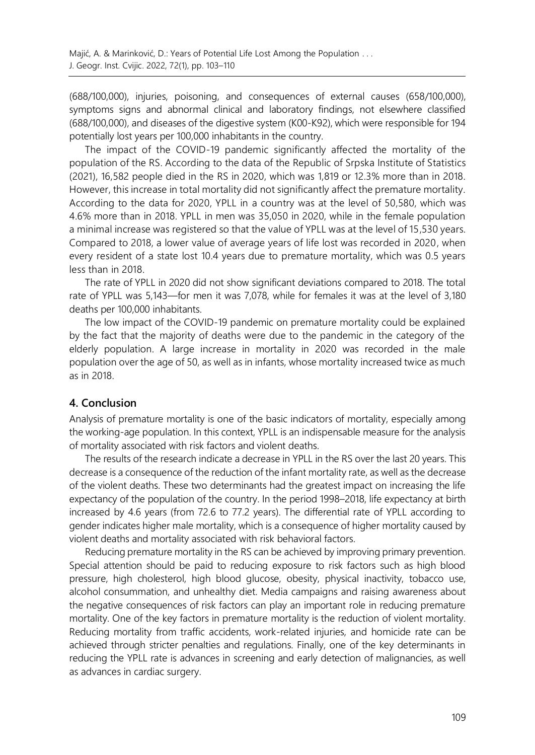(688/100,000), injuries, poisoning, and consequences of external causes (658/100,000), symptoms signs and abnormal clinical and laboratory findings, not elsewhere classified (688/100,000), and diseases of the digestive system (K00-K92), which were responsible for 194 potentially lost years per 100,000 inhabitants in the country.

The impact of the COVID-19 pandemic significantly affected the mortality of the population of the RS. According to the data of the Republic of Srpska Institute of Statistics (2021), 16,582 people died in the RS in 2020, which was 1,819 or 12.3% more than in 2018. However, this increase in total mortality did not significantly affect the premature mortality. According to the data for 2020, YPLL in a country was at the level of 50,580, which was 4.6% more than in 2018. YPLL in men was 35,050 in 2020, while in the female population a minimal increase was registered so that the value of YPLL was at the level of 15,530 years. Compared to 2018, a lower value of average years of life lost was recorded in 2020, when every resident of a state lost 10.4 years due to premature mortality, which was 0.5 years less than in 2018.

The rate of YPLL in 2020 did not show significant deviations compared to 2018. The total rate of YPLL was 5,143—for men it was 7,078, while for females it was at the level of 3,180 deaths per 100,000 inhabitants.

The low impact of the COVID-19 pandemic on premature mortality could be explained by the fact that the majority of deaths were due to the pandemic in the category of the elderly population. A large increase in mortality in 2020 was recorded in the male population over the age of 50, as well as in infants, whose mortality increased twice as much as in 2018.

### **4. Conclusion**

Analysis of premature mortality is one of the basic indicators of mortality, especially among the working-age population. In this context, YPLL is an indispensable measure for the analysis of mortality associated with risk factors and violent deaths.

The results of the research indicate a decrease in YPLL in the RS over the last 20 years. This decrease is a consequence of the reduction of the infant mortality rate, as well as the decrease of the violent deaths. These two determinants had the greatest impact on increasing the life expectancy of the population of the country. In the period 1998–2018, life expectancy at birth increased by 4.6 years (from 72.6 to 77.2 years). The differential rate of YPLL according to gender indicates higher male mortality, which is a consequence of higher mortality caused by violent deaths and mortality associated with risk behavioral factors.

Reducing premature mortality in the RS can be achieved by improving primary prevention. Special attention should be paid to reducing exposure to risk factors such as high blood pressure, high cholesterol, high blood glucose, obesity, physical inactivity, tobacco use, alcohol consummation, and unhealthy diet. Media campaigns and raising awareness about the negative consequences of risk factors can play an important role in reducing premature mortality. One of the key factors in premature mortality is the reduction of violent mortality. Reducing mortality from traffic accidents, work-related injuries, and homicide rate can be achieved through stricter penalties and regulations. Finally, one of the key determinants in reducing the YPLL rate is advances in screening and early detection of malignancies, as well as advances in cardiac surgery.